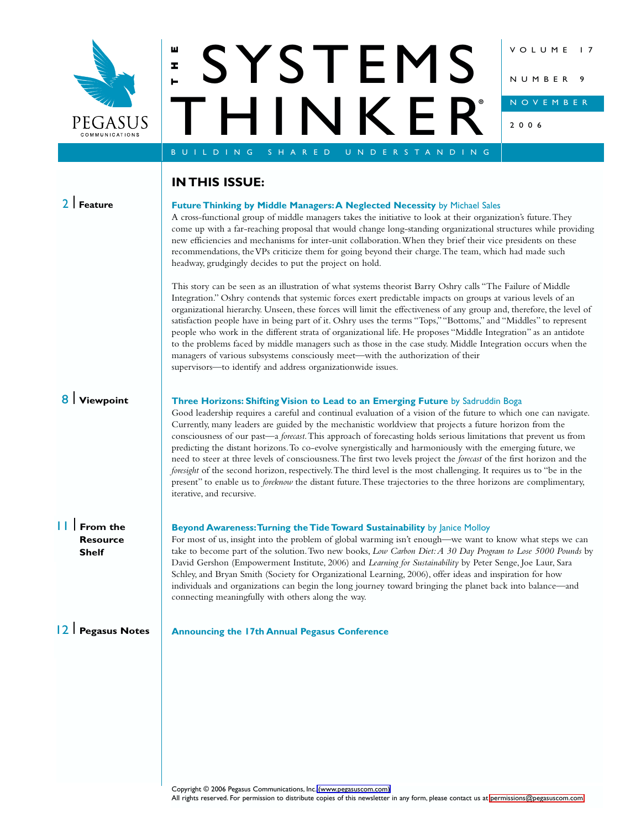

## SYSTEMS THINKER E SYSTEMS<br>THINKER ® VOLUME 17 NUMBER 9 NOVEMBER 2006

## **IN THIS ISSUE:**

### 2 **Feature**

#### **[Future Thinking by Middle Managers:A Neglected Necessity](#page-1-0)** by Michael Sales

A cross-functional group of middle managers takes the initiative to look at their organization's future.They come up with a far-reaching proposal that would change long-standing organizational structures while providing new efficiencies and mechanisms for inter-unit collaboration.When they brief their vice presidents on these recommendations, the VPs criticize them for going beyond their charge.The team, which had made such headway, grudgingly decides to put the project on hold.

This story can be seen as an illustration of what systems theorist Barry Oshry calls "The Failure of Middle Integration." Oshry contends that systemic forces exert predictable impacts on groups at various levels of an organizational hierarchy. Unseen, these forces will limit the effectiveness of any group and, therefore, the level of satisfaction people have in being part of it. Oshry uses the terms "Tops,""Bottoms," and "Middles" to represent people who work in the different strata of organizational life. He proposes "Middle Integration" as an antidote to the problems faced by middle managers such as those in the case study. Middle Integration occurs when the managers of various subsystems consciously meet—with the authorization of their supervisors—to identify and address organizationwide issues.

## 8 **Viewpoint**

#### **[Three Horizons: Shifting Vision to Lead to an Emerging Future](#page-7-0)** by Sadruddin Boga

Good leadership requires a careful and continual evaluation of a vision of the future to which one can navigate. Currently, many leaders are guided by the mechanistic worldview that projects a future horizon from the consciousness of our past—a *forecast*.This approach of forecasting holds serious limitations that prevent us from predicting the distant horizons.To co-evolve synergistically and harmoniously with the emerging future, we need to steer at three levels of consciousness.The first two levels project the *forecast* of the first horizon and the *foresight* of the second horizon, respectively.The third level is the most challenging. It requires us to "be in the present" to enable us to *foreknow* the distant future.These trajectories to the three horizons are complimentary, iterative, and recursive.

### 11 **[From the](#page-10-0) Resource Shelf**

#### **[Beyond Awareness:Turning the Tide Toward Sustainability](#page-10-0)** by Janice Molloy

For most of us, insight into the problem of global warming isn't enough—we want to know what steps we can take to become part of the solution.Two new books, *Low Carbon Diet:A 30 Day Program to Lose 5000 Pounds* by David Gershon (Empowerment Institute, 2006) and *Learning for Sustainability* by Peter Senge, Joe Laur, Sara Schley, and Bryan Smith (Society for Organizational Learning, 2006), offer ideas and inspiration for how individuals and organizations can begin the long journey toward bringing the planet back into balance—and connecting meaningfully with others along the way.

#### **[Announcing the 17th Annual Pegasus Conference](#page-11-0)** 12 **Pegasus Notes**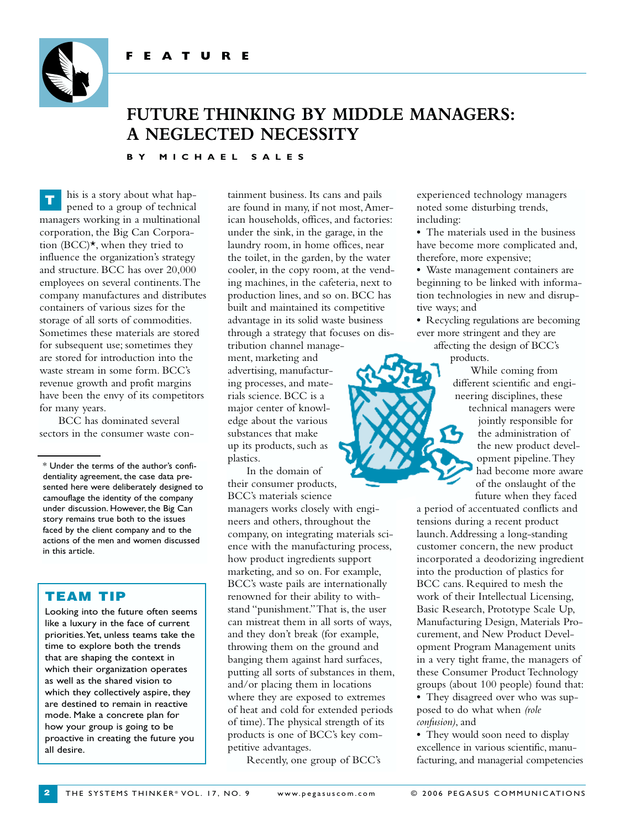<span id="page-1-0"></span>

# **FUTURE THINKING BY MIDDLE MANAGERS: A NEGLECTED NECESSITY**

### **BY MICHAEL SALES**

his is a story about what happened to a group of technical managers working in a multinational corporation, the Big Can Corporation (BCC)\*, when they tried to influence the organization's strategy and structure. BCC has over 20,000 employees on several continents.The company manufactures and distributes containers of various sizes for the storage of all sorts of commodities. Sometimes these materials are stored for subsequent use; sometimes they are stored for introduction into the waste stream in some form. BCC's revenue growth and profit margins have been the envy of its competitors for many years. T

BCC has dominated several sectors in the consumer waste con-

### TEAM TIP

Looking into the future often seems like a luxury in the face of current priorities.Yet, unless teams take the time to explore both the trends that are shaping the context in which their organization operates as well as the shared vision to which they collectively aspire, they are destined to remain in reactive mode. Make a concrete plan for how your group is going to be proactive in creating the future you all desire.

tainment business. Its cans and pails are found in many, if not most,American households, offices, and factories: under the sink, in the garage, in the laundry room, in home offices, near the toilet, in the garden, by the water cooler, in the copy room, at the vending machines, in the cafeteria, next to production lines, and so on. BCC has built and maintained its competitive advantage in its solid waste business through a strategy that focuses on dis-

tribution channel management, marketing and advertising, manufacturing processes, and materials science. BCC is a major center of knowledge about the various substances that make up its products, such as plastics. In the domain of

their consumer products, BCC's materials science managers works closely with engineers and others, throughout the company, on integrating materials science with the manufacturing process, how product ingredients support marketing, and so on. For example, BCC's waste pails are internationally renowned for their ability to withstand "punishment."That is, the user can mistreat them in all sorts of ways, and they don't break (for example, throwing them on the ground and banging them against hard surfaces, putting all sorts of substances in them, and/or placing them in locations where they are exposed to extremes of heat and cold for extended periods of time).The physical strength of its products is one of BCC's key competitive advantages.

Recently, one group of BCC's

experienced technology managers noted some disturbing trends, including:

**•** The materials used in the business have become more complicated and, therefore, more expensive;

**•** Waste management containers are beginning to be linked with information technologies in new and disruptive ways; and

**•** Recycling regulations are becoming ever more stringent and they are

affecting the design of BCC's products.

> While coming from different scientific and engineering disciplines, these

technical managers were jointly responsible for the administration of the new product development pipeline.They had become more aware of the onslaught of the future when they faced

a period of accentuated conflicts and tensions during a recent product launch.Addressing a long-standing customer concern, the new product incorporated a deodorizing ingredient into the production of plastics for BCC cans. Required to mesh the work of their Intellectual Licensing, Basic Research, Prototype Scale Up, Manufacturing Design, Materials Procurement, and New Product Development Program Management units in a very tight frame, the managers of these Consumer Product Technology groups (about 100 people) found that:

**•** They disagreed over who was supposed to do what when *(role confusion)*, and

**•** They would soon need to display excellence in various scientific, manufacturing, and managerial competencies

<sup>\*</sup> Under the terms of the author's confidentiality agreement, the case data presented here were deliberately designed to camouflage the identity of the company under discussion. However, the Big Can story remains true both to the issues faced by the client company and to the actions of the men and women discussed in this article.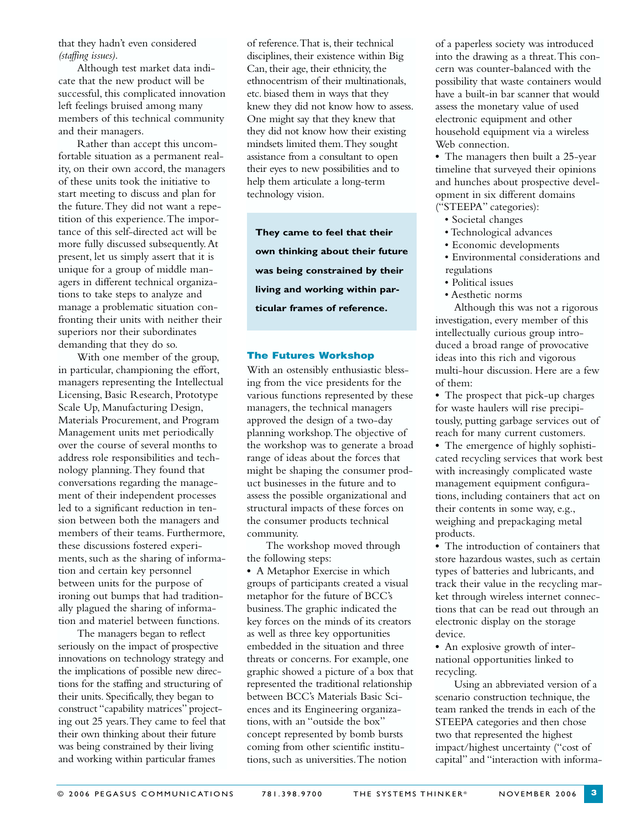that they hadn't even considered *(staffing issues)*.

Although test market data indicate that the new product will be successful, this complicated innovation left feelings bruised among many members of this technical community and their managers.

Rather than accept this uncomfortable situation as a permanent reality, on their own accord, the managers of these units took the initiative to start meeting to discuss and plan for the future.They did not want a repetition of this experience.The importance of this self-directed act will be more fully discussed subsequently.At present, let us simply assert that it is unique for a group of middle managers in different technical organizations to take steps to analyze and manage a problematic situation confronting their units with neither their superiors nor their subordinates demanding that they do so.

With one member of the group, in particular, championing the effort, managers representing the Intellectual Licensing, Basic Research, Prototype Scale Up, Manufacturing Design, Materials Procurement, and Program Management units met periodically over the course of several months to address role responsibilities and technology planning.They found that conversations regarding the management of their independent processes led to a significant reduction in tension between both the managers and members of their teams. Furthermore, these discussions fostered experiments, such as the sharing of information and certain key personnel between units for the purpose of ironing out bumps that had traditionally plagued the sharing of information and materiel between functions.

The managers began to reflect seriously on the impact of prospective innovations on technology strategy and the implications of possible new directions for the staffing and structuring of their units. Specifically, they began to construct "capability matrices" projecting out 25 years.They came to feel that their own thinking about their future was being constrained by their living and working within particular frames

of reference.That is, their technical disciplines, their existence within Big Can, their age, their ethnicity, the ethnocentrism of their multinationals, etc. biased them in ways that they knew they did not know how to assess. One might say that they knew that they did not know how their existing mindsets limited them.They sought assistance from a consultant to open their eyes to new possibilities and to help them articulate a long-term technology vision.

**They came to feel that their own thinking about their future was being constrained by their living and working within particular frames of reference.**

#### The Futures Workshop

With an ostensibly enthusiastic blessing from the vice presidents for the various functions represented by these managers, the technical managers approved the design of a two-day planning workshop.The objective of the workshop was to generate a broad range of ideas about the forces that might be shaping the consumer product businesses in the future and to assess the possible organizational and structural impacts of these forces on the consumer products technical community.

The workshop moved through the following steps:

**•** A Metaphor Exercise in which groups of participants created a visual metaphor for the future of BCC's business.The graphic indicated the key forces on the minds of its creators as well as three key opportunities embedded in the situation and three threats or concerns. For example, one graphic showed a picture of a box that represented the traditional relationship between BCC's Materials Basic Sciences and its Engineering organizations, with an "outside the box" concept represented by bomb bursts coming from other scientific institutions, such as universities.The notion

of a paperless society was introduced into the drawing as a threat.This concern was counter-balanced with the possibility that waste containers would have a built-in bar scanner that would assess the monetary value of used electronic equipment and other household equipment via a wireless Web connection.

• The managers then built a 25-year timeline that surveyed their opinions and hunches about prospective development in six different domains ("STEEPA" categories):

- Societal changes
- 
- Technological advances • Economic developments
- Environmental considerations and
- regulations
- Political issues • Aesthetic norms

Although this was not a rigorous investigation, every member of this intellectually curious group introduced a broad range of provocative ideas into this rich and vigorous multi-hour discussion. Here are a few of them:

**•** The prospect that pick-up charges for waste haulers will rise precipitously, putting garbage services out of reach for many current customers.

**•** The emergence of highly sophisticated recycling services that work best with increasingly complicated waste management equipment configurations, including containers that act on their contents in some way, e.g., weighing and prepackaging metal products.

**•** The introduction of containers that store hazardous wastes, such as certain types of batteries and lubricants, and track their value in the recycling market through wireless internet connections that can be read out through an electronic display on the storage device.

**•** An explosive growth of international opportunities linked to recycling.

Using an abbreviated version of a scenario construction technique, the team ranked the trends in each of the STEEPA categories and then chose two that represented the highest impact/highest uncertainty ("cost of capital" and "interaction with informa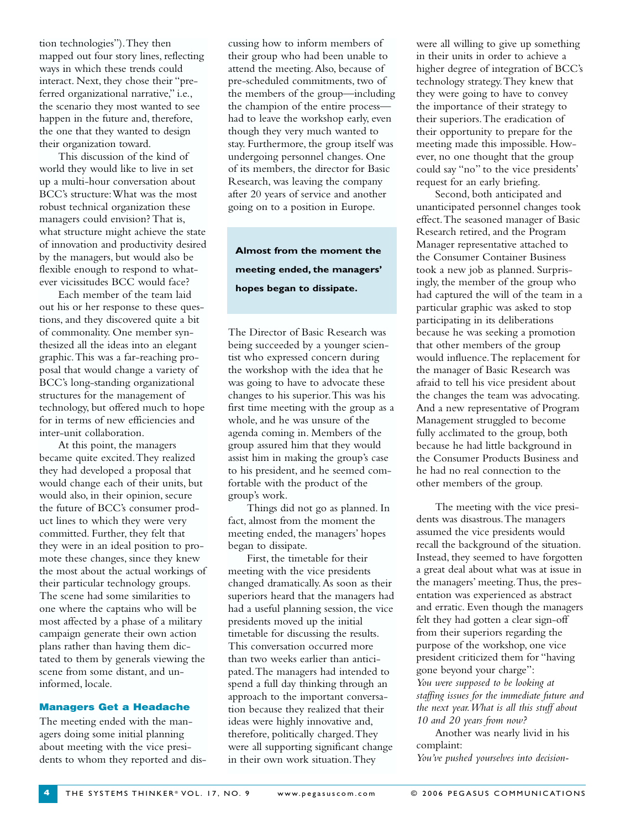tion technologies").They then mapped out four story lines, reflecting ways in which these trends could interact. Next, they chose their "preferred organizational narrative," i.e., the scenario they most wanted to see happen in the future and, therefore, the one that they wanted to design their organization toward.

This discussion of the kind of world they would like to live in set up a multi-hour conversation about BCC's structure:What was the most robust technical organization these managers could envision? That is, what structure might achieve the state of innovation and productivity desired by the managers, but would also be flexible enough to respond to whatever vicissitudes BCC would face?

Each member of the team laid out his or her response to these questions, and they discovered quite a bit of commonality. One member synthesized all the ideas into an elegant graphic.This was a far-reaching proposal that would change a variety of BCC's long-standing organizational structures for the management of technology, but offered much to hope for in terms of new efficiencies and inter-unit collaboration.

At this point, the managers became quite excited.They realized they had developed a proposal that would change each of their units, but would also, in their opinion, secure the future of BCC's consumer product lines to which they were very committed. Further, they felt that they were in an ideal position to promote these changes, since they knew the most about the actual workings of their particular technology groups. The scene had some similarities to one where the captains who will be most affected by a phase of a military campaign generate their own action plans rather than having them dictated to them by generals viewing the scene from some distant, and uninformed, locale.

#### Managers Get a Headache

The meeting ended with the managers doing some initial planning about meeting with the vice presidents to whom they reported and discussing how to inform members of their group who had been unable to attend the meeting.Also, because of pre-scheduled commitments, two of the members of the group—including the champion of the entire process had to leave the workshop early, even though they very much wanted to stay. Furthermore, the group itself was undergoing personnel changes. One of its members, the director for Basic Research, was leaving the company after 20 years of service and another going on to a position in Europe.

**Almost from the moment the meeting ended, the managers' hopes began to dissipate.**

The Director of Basic Research was being succeeded by a younger scientist who expressed concern during the workshop with the idea that he was going to have to advocate these changes to his superior.This was his first time meeting with the group as a whole, and he was unsure of the agenda coming in. Members of the group assured him that they would assist him in making the group's case to his president, and he seemed comfortable with the product of the group's work.

Things did not go as planned. In fact, almost from the moment the meeting ended, the managers' hopes began to dissipate.

First, the timetable for their meeting with the vice presidents changed dramatically.As soon as their superiors heard that the managers had had a useful planning session, the vice presidents moved up the initial timetable for discussing the results. This conversation occurred more than two weeks earlier than anticipated.The managers had intended to spend a full day thinking through an approach to the important conversation because they realized that their ideas were highly innovative and, therefore, politically charged.They were all supporting significant change in their own work situation.They

were all willing to give up something in their units in order to achieve a higher degree of integration of BCC's technology strategy.They knew that they were going to have to convey the importance of their strategy to their superiors.The eradication of their opportunity to prepare for the meeting made this impossible. However, no one thought that the group could say "no" to the vice presidents' request for an early briefing.

Second, both anticipated and unanticipated personnel changes took effect.The seasoned manager of Basic Research retired, and the Program Manager representative attached to the Consumer Container Business took a new job as planned. Surprisingly, the member of the group who had captured the will of the team in a particular graphic was asked to stop participating in its deliberations because he was seeking a promotion that other members of the group would influence.The replacement for the manager of Basic Research was afraid to tell his vice president about the changes the team was advocating. And a new representative of Program Management struggled to become fully acclimated to the group, both because he had little background in the Consumer Products Business and he had no real connection to the other members of the group.

The meeting with the vice presidents was disastrous.The managers assumed the vice presidents would recall the background of the situation. Instead, they seemed to have forgotten a great deal about what was at issue in the managers' meeting.Thus, the presentation was experienced as abstract and erratic. Even though the managers felt they had gotten a clear sign-off from their superiors regarding the purpose of the workshop, one vice president criticized them for "having gone beyond your charge": *You were supposed to be looking at staffing issues for the immediate future and the next year.What is all this stuff about 10 and 20 years from now?* 

Another was nearly livid in his complaint: *You've pushed yourselves into decision-*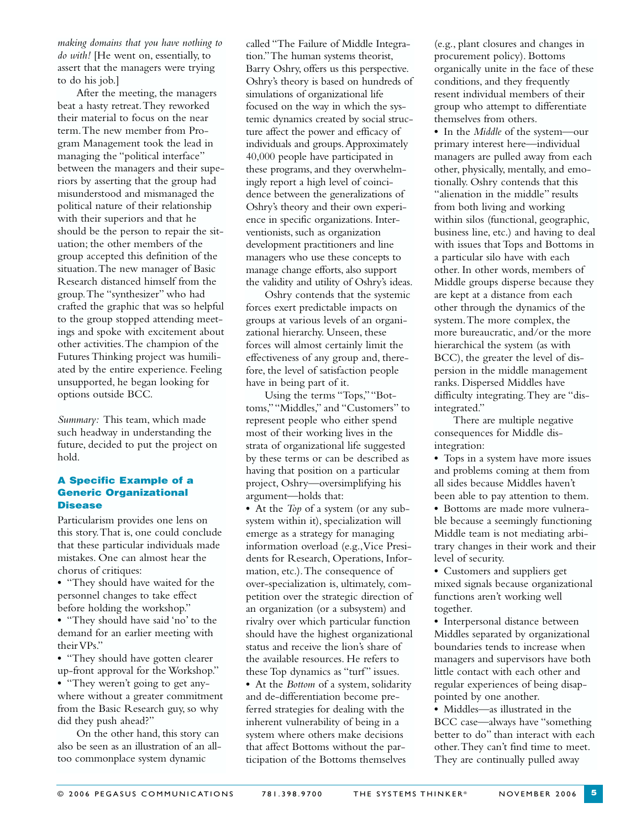*making domains that you have nothing to do with!* [He went on, essentially, to assert that the managers were trying to do his job.]

After the meeting, the managers beat a hasty retreat.They reworked their material to focus on the near term.The new member from Program Management took the lead in managing the "political interface" between the managers and their superiors by asserting that the group had misunderstood and mismanaged the political nature of their relationship with their superiors and that he should be the person to repair the situation; the other members of the group accepted this definition of the situation.The new manager of Basic Research distanced himself from the group.The "synthesizer" who had crafted the graphic that was so helpful to the group stopped attending meetings and spoke with excitement about other activities.The champion of the Futures Thinking project was humiliated by the entire experience. Feeling unsupported, he began looking for options outside BCC.

*Summary:* This team, which made such headway in understanding the future, decided to put the project on hold.

### A Specific Example of a Generic Organizational Disease

Particularism provides one lens on this story.That is, one could conclude that these particular individuals made mistakes. One can almost hear the chorus of critiques:

**•** "They should have waited for the personnel changes to take effect before holding the workshop."

**•** "They should have said 'no' to the demand for an earlier meeting with their VPs."

**•** "They should have gotten clearer up-front approval for the Workshop."

**•** "They weren't going to get anywhere without a greater commitment from the Basic Research guy, so why did they push ahead?"

On the other hand, this story can also be seen as an illustration of an alltoo commonplace system dynamic

called "The Failure of Middle Integration."The human systems theorist, Barry Oshry, offers us this perspective. Oshry's theory is based on hundreds of simulations of organizational life focused on the way in which the systemic dynamics created by social structure affect the power and efficacy of individuals and groups.Approximately 40,000 people have participated in these programs, and they overwhelmingly report a high level of coincidence between the generalizations of Oshry's theory and their own experience in specific organizations. Interventionists, such as organization development practitioners and line managers who use these concepts to manage change efforts, also support the validity and utility of Oshry's ideas.

Oshry contends that the systemic forces exert predictable impacts on groups at various levels of an organizational hierarchy. Unseen, these forces will almost certainly limit the effectiveness of any group and, therefore, the level of satisfaction people have in being part of it.

Using the terms "Tops,""Bottoms,""Middles," and "Customers" to represent people who either spend most of their working lives in the strata of organizational life suggested by these terms or can be described as having that position on a particular project, Oshry—oversimplifying his argument—holds that:

**•** At the *Top* of a system (or any subsystem within it), specialization will emerge as a strategy for managing information overload (e.g.,Vice Presidents for Research, Operations, Information, etc.).The consequence of over-specialization is, ultimately, competition over the strategic direction of an organization (or a subsystem) and rivalry over which particular function should have the highest organizational status and receive the lion's share of the available resources. He refers to these Top dynamics as "turf" issues.

**•** At the *Bottom* of a system, solidarity and de-differentiation become preferred strategies for dealing with the inherent vulnerability of being in a system where others make decisions that affect Bottoms without the participation of the Bottoms themselves

(e.g., plant closures and changes in procurement policy). Bottoms organically unite in the face of these conditions, and they frequently resent individual members of their group who attempt to differentiate themselves from others.

**•** In the *Middle* of the system—our primary interest here—individual managers are pulled away from each other, physically, mentally, and emotionally. Oshry contends that this "alienation in the middle" results from both living and working within silos (functional, geographic, business line, etc.) and having to deal with issues that Tops and Bottoms in a particular silo have with each other. In other words, members of Middle groups disperse because they are kept at a distance from each other through the dynamics of the system.The more complex, the more bureaucratic, and/or the more hierarchical the system (as with BCC), the greater the level of dispersion in the middle management ranks. Dispersed Middles have difficulty integrating.They are "disintegrated."

There are multiple negative consequences for Middle disintegration:

**•** Tops in a system have more issues and problems coming at them from all sides because Middles haven't been able to pay attention to them. **•** Bottoms are made more vulnerable because a seemingly functioning Middle team is not mediating arbitrary changes in their work and their level of security.

**•** Customers and suppliers get mixed signals because organizational functions aren't working well together.

**•** Interpersonal distance between Middles separated by organizational boundaries tends to increase when managers and supervisors have both little contact with each other and regular experiences of being disappointed by one another.

**•** Middles—as illustrated in the BCC case—always have "something better to do" than interact with each other.They can't find time to meet. They are continually pulled away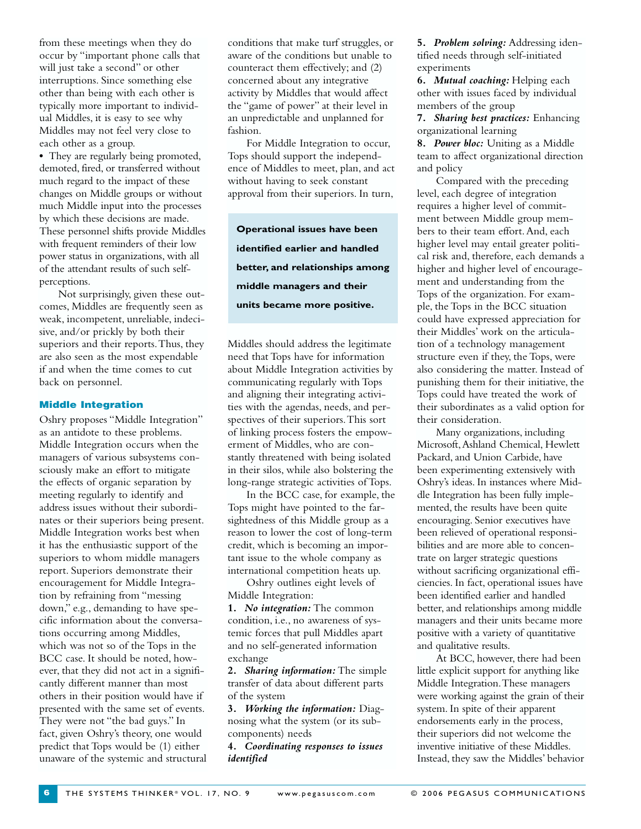from these meetings when they do occur by "important phone calls that will just take a second" or other interruptions. Since something else other than being with each other is typically more important to individual Middles, it is easy to see why Middles may not feel very close to each other as a group.

**•** They are regularly being promoted, demoted, fired, or transferred without much regard to the impact of these changes on Middle groups or without much Middle input into the processes by which these decisions are made. These personnel shifts provide Middles with frequent reminders of their low power status in organizations, with all of the attendant results of such selfperceptions.

Not surprisingly, given these outcomes, Middles are frequently seen as weak, incompetent, unreliable, indecisive, and/or prickly by both their superiors and their reports.Thus, they are also seen as the most expendable if and when the time comes to cut back on personnel.

#### Middle Integration

Oshry proposes "Middle Integration" as an antidote to these problems. Middle Integration occurs when the managers of various subsystems consciously make an effort to mitigate the effects of organic separation by meeting regularly to identify and address issues without their subordinates or their superiors being present. Middle Integration works best when it has the enthusiastic support of the superiors to whom middle managers report. Superiors demonstrate their encouragement for Middle Integration by refraining from "messing down," e.g., demanding to have specific information about the conversations occurring among Middles, which was not so of the Tops in the BCC case. It should be noted, however, that they did not act in a significantly different manner than most others in their position would have if presented with the same set of events. They were not "the bad guys." In fact, given Oshry's theory, one would predict that Tops would be (1) either unaware of the systemic and structural

conditions that make turf struggles, or aware of the conditions but unable to counteract them effectively; and (2) concerned about any integrative activity by Middles that would affect the "game of power" at their level in an unpredictable and unplanned for fashion.

For Middle Integration to occur, Tops should support the independence of Middles to meet, plan, and act without having to seek constant approval from their superiors. In turn,

**Operational issues have been identified earlier and handled better, and relationships among middle managers and their units became more positive.**

Middles should address the legitimate need that Tops have for information about Middle Integration activities by communicating regularly with Tops and aligning their integrating activities with the agendas, needs, and perspectives of their superiors.This sort of linking process fosters the empowerment of Middles, who are constantly threatened with being isolated in their silos, while also bolstering the long-range strategic activities of Tops.

In the BCC case, for example, the Tops might have pointed to the farsightedness of this Middle group as a reason to lower the cost of long-term credit, which is becoming an important issue to the whole company as international competition heats up.

Oshry outlines eight levels of Middle Integration:

**1.** *No integration:* The common condition, i.e., no awareness of systemic forces that pull Middles apart and no self-generated information exchange

**2.** *Sharing information:* The simple transfer of data about different parts of the system

**3.** *Working the information:* Diagnosing what the system (or its subcomponents) needs

**4.** *Coordinating responses to issues identified*

**5.** *Problem solving:* Addressing identified needs through self-initiated experiments

**6.** *Mutual coaching:* Helping each other with issues faced by individual members of the group

**7.** *Sharing best practices:* Enhancing organizational learning

**8.** *Power bloc:* Uniting as a Middle team to affect organizational direction and policy

Compared with the preceding level, each degree of integration requires a higher level of commitment between Middle group members to their team effort.And, each higher level may entail greater political risk and, therefore, each demands a higher and higher level of encouragement and understanding from the Tops of the organization. For example, the Tops in the BCC situation could have expressed appreciation for their Middles' work on the articulation of a technology management structure even if they, the Tops, were also considering the matter. Instead of punishing them for their initiative, the Tops could have treated the work of their subordinates as a valid option for their consideration.

Many organizations, including Microsoft,Ashland Chemical, Hewlett Packard, and Union Carbide, have been experimenting extensively with Oshry's ideas. In instances where Middle Integration has been fully implemented, the results have been quite encouraging. Senior executives have been relieved of operational responsibilities and are more able to concentrate on larger strategic questions without sacrificing organizational efficiencies. In fact, operational issues have been identified earlier and handled better, and relationships among middle managers and their units became more positive with a variety of quantitative and qualitative results.

At BCC, however, there had been little explicit support for anything like Middle Integration.These managers were working against the grain of their system. In spite of their apparent endorsements early in the process, their superiors did not welcome the inventive initiative of these Middles. Instead, they saw the Middles' behavior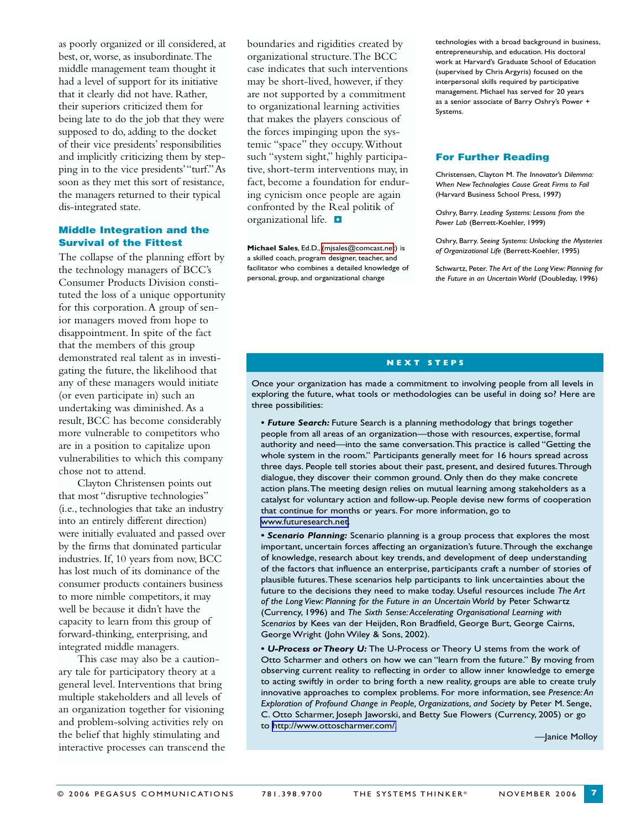as poorly organized or ill considered, at best, or, worse, as insubordinate.The middle management team thought it had a level of support for its initiative that it clearly did not have. Rather, their superiors criticized them for being late to do the job that they were supposed to do, adding to the docket of their vice presidents' responsibilities and implicitly criticizing them by stepping in to the vice presidents'"turf."As soon as they met this sort of resistance, the managers returned to their typical dis-integrated state.

#### Middle Integration and the Survival of the Fittest

The collapse of the planning effort by the technology managers of BCC's Consumer Products Division constituted the loss of a unique opportunity for this corporation.A group of senior managers moved from hope to disappointment. In spite of the fact that the members of this group demonstrated real talent as in investigating the future, the likelihood that any of these managers would initiate (or even participate in) such an undertaking was diminished.As a result, BCC has become considerably more vulnerable to competitors who are in a position to capitalize upon vulnerabilities to which this company chose not to attend.

Clayton Christensen points out that most "disruptive technologies" (i.e., technologies that take an industry into an entirely different direction) were initially evaluated and passed over by the firms that dominated particular industries. If, 10 years from now, BCC has lost much of its dominance of the consumer products containers business to more nimble competitors, it may well be because it didn't have the capacity to learn from this group of forward-thinking, enterprising, and integrated middle managers.

This case may also be a cautionary tale for participatory theory at a general level. Interventions that bring multiple stakeholders and all levels of an organization together for visioning and problem-solving activities rely on the belief that highly stimulating and interactive processes can transcend the

boundaries and rigidities created by organizational structure.The BCC case indicates that such interventions may be short-lived, however, if they are not supported by a commitment to organizational learning activities that makes the players conscious of the forces impinging upon the systemic "space" they occupy.Without such "system sight," highly participative, short-term interventions may, in fact, become a foundation for enduring cynicism once people are again confronted by the Real politik of organizational life. **•**

**Michael Sales**, Ed.D., [\(mjsales@comcast.net](mailto:mjsales@comcast.net)) is a skilled coach, program designer, teacher, and facilitator who combines a detailed knowledge of personal, group, and organizational change

technologies with a broad background in business, entrepreneurship, and education. His doctoral work at Harvard's Graduate School of Education (supervised by Chris Argyris) focused on the interpersonal skills required by participative management. Michael has served for 20 years as a senior associate of Barry Oshry's Power + Systems.

#### For Further Reading

Christensen, Clayton M. *The Innovator's Dilemma: When New Technologies Cause Great Firms to Fail* (Harvard Business School Press, 1997)

Oshry, Barry. *Leading Systems: Lessons from the Power Lab* (Berrett-Koehler, 1999)

Oshry, Barry. *Seeing Systems: Unlocking the Mysteries of Organizational Life* (Berrett-Koehler, 1995)

Schwartz, Peter. *The Art of the Long View: Planning for the Future in an Uncertain World* (Doubleday, 1996)

#### **NEXT STEPS**

Once your organization has made a commitment to involving people from all levels in exploring the future, what tools or methodologies can be useful in doing so? Here are three possibilities:

**•** *Future Search:* Future Search is a planning methodology that brings together people from all areas of an organization—those with resources, expertise, formal authority and need—into the same conversation.This practice is called "Getting the whole system in the room." Participants generally meet for 16 hours spread across three days. People tell stories about their past, present, and desired futures.Through dialogue, they discover their common ground. Only then do they make concrete action plans.The meeting design relies on mutual learning among stakeholders as a catalyst for voluntary action and follow-up. People devise new forms of cooperation that continue for months or years. For more information, go to [www.futuresearch.net.](www.futuresearch.net)

**•** *Scenario Planning:* Scenario planning is a group process that explores the most important, uncertain forces affecting an organization's future.Through the exchange of knowledge, research about key trends, and development of deep understanding of the factors that influence an enterprise, participants craft a number of stories of plausible futures.These scenarios help participants to link uncertainties about the future to the decisions they need to make today. Useful resources include *The Art of the Long View: Planning for the Future in an Uncertain World* by Peter Schwartz (Currency, 1996) and *The Sixth Sense:Accelerating Organisational Learning with Scenarios* by Kees van der Heijden, Ron Bradfield, George Burt, George Cairns, George Wright (John Wiley & Sons, 2002).

**•** *U-Process or Theory U:* The U-Process or Theory U stems from the work of Otto Scharmer and others on how we can "learn from the future." By moving from observing current reality to reflecting in order to allow inner knowledge to emerge to acting swiftly in order to bring forth a new reality, groups are able to create truly innovative approaches to complex problems. For more information, see *Presence:An Exploration of Profound Change in People, Organizations, and Society* by Peter M. Senge, C. Otto Scharmer, Joseph Jaworski, and Betty Sue Flowers (Currency, 2005) or go to [http://www.ottoscharmer.com/.](http://www.ottoscharmer.com/)

—Janice Molloy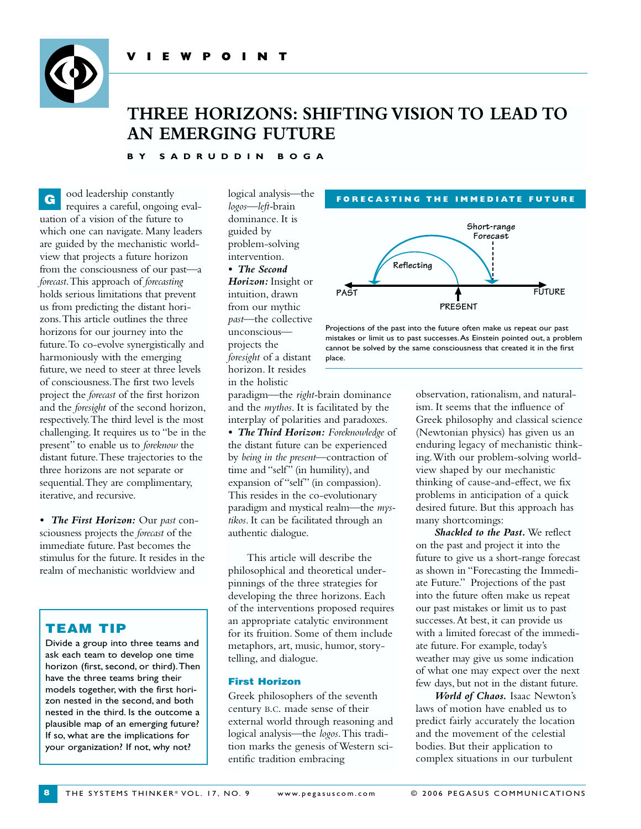<span id="page-7-0"></span>

## **THREE HORIZONS: SHIFTING VISION TO LEAD TO AN EMERGING FUTURE**

#### **BY SADRUDDIN BOGA**

ood leadership constantly requires a careful, ongoing evaluation of a vision of the future to which one can navigate. Many leaders are guided by the mechanistic worldview that projects a future horizon from the consciousness of our past—a *forecast*.This approach of *forecasting* holds serious limitations that prevent us from predicting the distant horizons.This article outlines the three horizons for our journey into the future.To co-evolve synergistically and harmoniously with the emerging future, we need to steer at three levels of consciousness.The first two levels project the *forecast* of the first horizon and the *foresight* of the second horizon, respectively.The third level is the most challenging. It requires us to "be in the present" to enable us to *foreknow* the distant future.These trajectories to the three horizons are not separate or sequential.They are complimentary, iterative, and recursive. G

*• The First Horizon:* Our *past* consciousness projects the *forecast* of the immediate future. Past becomes the stimulus for the future. It resides in the realm of mechanistic worldview and

### TEAM TIP

Divide a group into three teams and ask each team to develop one time horizon (first, second, or third).Then have the three teams bring their models together, with the first horizon nested in the second, and both nested in the third. Is the outcome a plausible map of an emerging future? If so, what are the implications for your organization? If not, why not?

logical analysis—the *logos—left-*brain dominance. It is guided by problem-solving intervention.

*• The Second Horizon:* Insight or intuition, drawn from our mythic *past*—the collective unconscious projects the *foresight* of a distant horizon. It resides in the holistic

paradigm—the *right-*brain dominance and the *mythos*. It is facilitated by the interplay of polarities and paradoxes. *• The Third Horizon: Foreknowledge* of the distant future can be experienced by *being in the present*—contraction of time and "self" (in humility), and expansion of "self" (in compassion). This resides in the co-evolutionary paradigm and mystical realm—the *mystikos*. It can be facilitated through an authentic dialogue.

This article will describe the philosophical and theoretical underpinnings of the three strategies for developing the three horizons. Each of the interventions proposed requires an appropriate catalytic environment for its fruition. Some of them include metaphors, art, music, humor, storytelling, and dialogue.

#### First Horizon

Greek philosophers of the seventh century B.C. made sense of their external world through reasoning and logical analysis—the *logos*.This tradition marks the genesis of Western scientific tradition embracing



Projections of the past into the future often make us repeat our past mistakes or limit us to past successes.As Einstein pointed out, a problem cannot be solved by the same consciousness that created it in the first place.

> observation, rationalism, and naturalism. It seems that the influence of Greek philosophy and classical science (Newtonian physics) has given us an enduring legacy of mechanistic thinking.With our problem-solving worldview shaped by our mechanistic thinking of cause-and-effect, we fix problems in anticipation of a quick desired future. But this approach has many shortcomings:

> *Shackled to the Past.* We reflect on the past and project it into the future to give us a short-range forecast as shown in "Forecasting the Immediate Future." Projections of the past into the future often make us repeat our past mistakes or limit us to past successes.At best, it can provide us with a limited forecast of the immediate future. For example, today's weather may give us some indication of what one may expect over the next few days, but not in the distant future.

*World of Chaos.* Isaac Newton's laws of motion have enabled us to predict fairly accurately the location and the movement of the celestial bodies. But their application to complex situations in our turbulent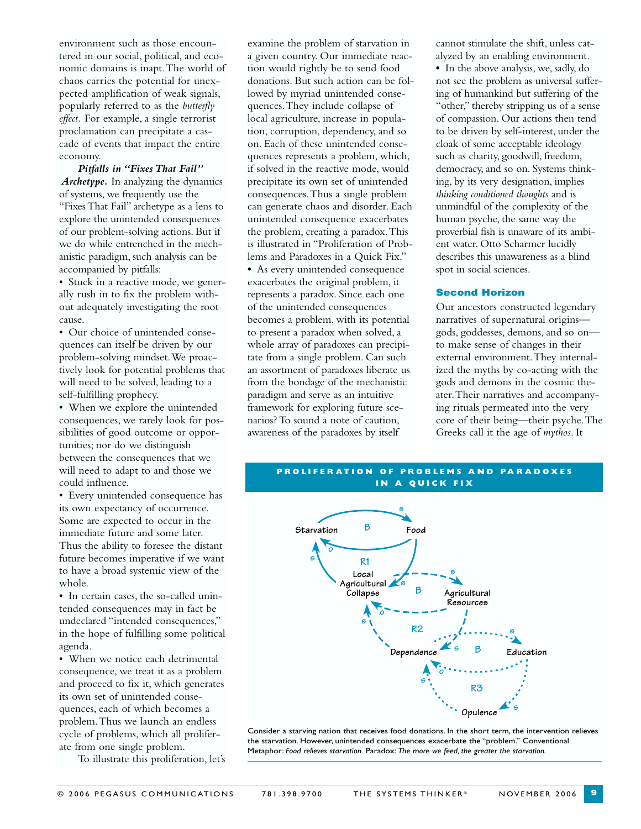environment such as those encountered in our social, political, and economic domains is inapt.The world of chaos carries the potential for unexpected amplification of weak signals, popularly referred to as the *butterfly effect.* For example, a single terrorist proclamation can precipitate a cascade of events that impact the entire economy.

*Pitfalls in "Fixes That Fail" Archetype.* In analyzing the dynamics of systems, we frequently use the "Fixes That Fail" archetype as a lens to explore the unintended consequences of our problem-solving actions. But if we do while entrenched in the mechanistic paradigm, such analysis can be accompanied by pitfalls:

• Stuck in a reactive mode, we generally rush in to fix the problem without adequately investigating the root cause.

• Our choice of unintended consequences can itself be driven by our problem-solving mindset.We proactively look for potential problems that will need to be solved, leading to a self-fulfilling prophecy.

• When we explore the unintended consequences, we rarely look for possibilities of good outcome or opportunities; nor do we distinguish between the consequences that we will need to adapt to and those we could influence.

• Every unintended consequence has its own expectancy of occurrence. Some are expected to occur in the immediate future and some later. Thus the ability to foresee the distant future becomes imperative if we want to have a broad systemic view of the whole.

• In certain cases, the so-called unintended consequences may in fact be undeclared "intended consequences," in the hope of fulfilling some political agenda.

• When we notice each detrimental consequence, we treat it as a problem and proceed to fix it, which generates its own set of unintended consequences, each of which becomes a problem.Thus we launch an endless cycle of problems, which all proliferate from one single problem.

To illustrate this proliferation, let's

examine the problem of starvation in a given country. Our immediate reaction would rightly be to send food donations. But such action can be followed by myriad unintended consequences.They include collapse of local agriculture, increase in population, corruption, dependency, and so on. Each of these unintended consequences represents a problem, which, if solved in the reactive mode, would precipitate its own set of unintended consequences.Thus a single problem can generate chaos and disorder. Each unintended consequence exacerbates the problem, creating a paradox.This is illustrated in "Proliferation of Problems and Paradoxes in a Quick Fix."

**•** As every unintended consequence exacerbates the original problem, it represents a paradox. Since each one of the unintended consequences becomes a problem, with its potential to present a paradox when solved, a whole array of paradoxes can precipitate from a single problem. Can such an assortment of paradoxes liberate us from the bondage of the mechanistic paradigm and serve as an intuitive framework for exploring future scenarios? To sound a note of caution, awareness of the paradoxes by itself

cannot stimulate the shift, unless catalyzed by an enabling environment. **•** In the above analysis, we, sadly, do not see the problem as universal suffering of humankind but suffering of the "other," thereby stripping us of a sense of compassion. Our actions then tend to be driven by self-interest, under the cloak of some acceptable ideology such as charity, goodwill, freedom, democracy, and so on. Systems thinking, by its very designation, implies *thinking conditioned thoughts* and is unmindful of the complexity of the human psyche, the same way the proverbial fish is unaware of its ambient water. Otto Scharmer lucidly describes this unawareness as a blind spot in social sciences.

#### Second Horizon

Our ancestors constructed legendary narratives of supernatural origins gods, goddesses, demons, and so on to make sense of changes in their external environment.They internalized the myths by co-acting with the gods and demons in the cosmic theater.Their narratives and accompanying rituals permeated into the very core of their being—their psyche.The Greeks call it the age of *mythos*. It

#### **PROLIFERATION OF PROBLEMS AND PARADOXES IN A QUICK FIX**



Consider a starving nation that receives food donations. In the short term, the intervention relieves the starvation. However, unintended consequences exacerbate the "problem." Conventional Metaphor: *Food relieves starvation.* Paradox: *The more we feed, the greater the starvation.*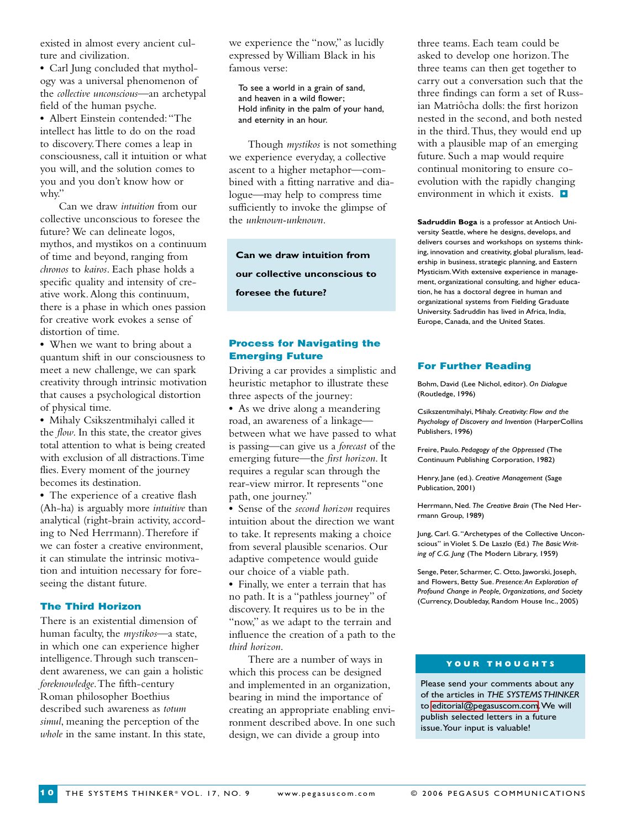existed in almost every ancient culture and civilization.

**•** Carl Jung concluded that mythology was a universal phenomenon of the *collective unconscious*—an archetypal field of the human psyche.

**•** Albert Einstein contended:"The intellect has little to do on the road to discovery.There comes a leap in consciousness, call it intuition or what you will, and the solution comes to you and you don't know how or why."

Can we draw *intuition* from our collective unconscious to foresee the future? We can delineate logos, mythos, and mystikos on a continuum of time and beyond, ranging from *chronos* to *kairos*. Each phase holds a specific quality and intensity of creative work.Along this continuum, there is a phase in which ones passion for creative work evokes a sense of distortion of time.

**•** When we want to bring about a quantum shift in our consciousness to meet a new challenge, we can spark creativity through intrinsic motivation that causes a psychological distortion of physical time.

**•** Mihaly Csikszentmihalyi called it the *flow*. In this state, the creator gives total attention to what is being created with exclusion of all distractions.Time flies. Every moment of the journey becomes its destination.

**•** The experience of a creative flash (Ah-ha) is arguably more *intuitive* than analytical (right-brain activity, according to Ned Herrmann).Therefore if we can foster a creative environment, it can stimulate the intrinsic motivation and intuition necessary for foreseeing the distant future.

#### The Third Horizon

There is an existential dimension of human faculty, the *mystikos*—a state, in which one can experience higher intelligence.Through such transcendent awareness, we can gain a holistic *foreknowledge*.The fifth-century Roman philosopher Boethius described such awareness as *totum simul*, meaning the perception of the *whole* in the same instant. In this state, we experience the "now," as lucidly expressed by William Black in his famous verse:

To see a world in a grain of sand, and heaven in a wild flower; Hold infinity in the palm of your hand, and eternity in an hour.

Though *mystikos* is not something we experience everyday, a collective ascent to a higher metaphor—combined with a fitting narrative and dialogue—may help to compress time sufficiently to invoke the glimpse of the *unknown-unknown*.

**Can we draw intuition from our collective unconscious to**

**foresee the future?**

#### Process for Navigating the Emerging Future

Driving a car provides a simplistic and heuristic metaphor to illustrate these three aspects of the journey:

**•** As we drive along a meandering road, an awareness of a linkage between what we have passed to what is passing—can give us a *forecast* of the emerging future—the *first horizon*. It requires a regular scan through the rear-view mirror. It represents "one path, one journey."

• Sense of the *second horizon* requires intuition about the direction we want to take. It represents making a choice from several plausible scenarios. Our adaptive competence would guide our choice of a viable path.

**•** Finally, we enter a terrain that has no path. It is a "pathless journey" of discovery. It requires us to be in the "now," as we adapt to the terrain and influence the creation of a path to the *third horizon*.

There are a number of ways in which this process can be designed and implemented in an organization, bearing in mind the importance of creating an appropriate enabling environment described above. In one such design, we can divide a group into

three teams. Each team could be asked to develop one horizon.The three teams can then get together to carry out a conversation such that the three findings can form a set of Russian Matriôcha dolls: the first horizon nested in the second, and both nested in the third.Thus, they would end up with a plausible map of an emerging future. Such a map would require continual monitoring to ensure coevolution with the rapidly changing environment in which it exists. **•**

**Sadruddin Boga** is a professor at Antioch University Seattle, where he designs, develops, and delivers courses and workshops on systems thinking, innovation and creativity, global pluralism, leadership in business, strategic planning, and Eastern Mysticism.With extensive experience in management, organizational consulting, and higher education, he has a doctoral degree in human and organizational systems from Fielding Graduate University. Sadruddin has lived in Africa, India, Europe, Canada, and the United States.

#### For Further Reading

Bohm, David (Lee Nichol, editor). *On Dialogue* (Routledge, 1996)

Csikszentmihalyi, Mihaly. *Creativity: Flow and the Psychology of Discovery and Invention* (HarperCollins Publishers, 1996)

Freire, Paulo. *Pedagogy of the Oppressed* (The Continuum Publishing Corporation, 1982)

Henry, Jane (ed.). *Creative Management* (Sage Publication, 2001)

Herrmann, Ned. *The Creative Brain* (The Ned Herrmann Group, 1989)

Jung, Carl. G."Archetypes of the Collective Unconscious" in Violet S. De Laszlo (Ed.) *The Basic Writing of C.G. Jung* (The Modern Library, 1959)

Senge, Peter, Scharmer, C. Otto, Jaworski, Joseph, and Flowers, Betty Sue. *Presence:An Exploration of Profound Change in People, Organizations, and Society* (Currency, Doubleday, Random House Inc., 2005)

#### **YOUR THOUGHTS**

Please send your comments about any of the articles in *THE SYSTEMS THINKER* to [editorial@pegasuscom.com](mailto:editorial@pegasuscom.com).We will publish selected letters in a future issue.Your input is valuable!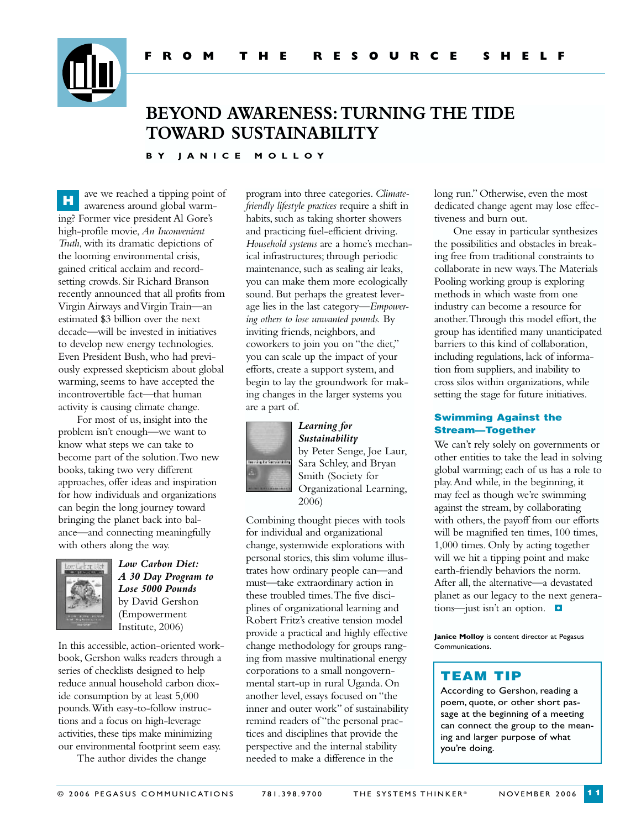<span id="page-10-0"></span>

# **BEYOND AWARENESS:TURNING THE TIDE TOWARD SUSTAINABILITY**

#### **BY JANICE MOLLOY**

ave we reached a tipping point of awareness around global warming? Former vice president Al Gore's high-profile movie, *An Inconvenient Truth*, with its dramatic depictions of the looming environmental crisis, gained critical acclaim and recordsetting crowds. Sir Richard Branson recently announced that all profits from Virgin Airways and Virgin Train—an estimated \$3 billion over the next decade—will be invested in initiatives to develop new energy technologies. Even President Bush, who had previously expressed skepticism about global warming, seems to have accepted the incontrovertible fact—that human activity is causing climate change. H

For most of us, insight into the problem isn't enough—we want to know what steps we can take to become part of the solution.Two new books, taking two very different approaches, offer ideas and inspiration for how individuals and organizations can begin the long journey toward bringing the planet back into balance—and connecting meaningfully with others along the way.



*Low Carbon Diet: A 30 Day Program to Lose 5000 Pounds*  by David Gershon (Empowerment Institute, 2006)

In this accessible, action-oriented workbook, Gershon walks readers through a series of checklists designed to help reduce annual household carbon dioxide consumption by at least 5,000 pounds.With easy-to-follow instructions and a focus on high-leverage activities, these tips make minimizing our environmental footprint seem easy.

The author divides the change

program into three categories. *Climatefriendly lifestyle practices* require a shift in habits, such as taking shorter showers and practicing fuel-efficient driving. *Household systems* are a home's mechanical infrastructures; through periodic maintenance, such as sealing air leaks, you can make them more ecologically sound. But perhaps the greatest leverage lies in the last category—*Empowering others to lose unwanted pounds.* By inviting friends, neighbors, and coworkers to join you on "the diet," you can scale up the impact of your efforts, create a support system, and begin to lay the groundwork for making changes in the larger systems you are a part of.



### *Learning for Sustainability*  by Peter Senge, Joe Laur,

Sara Schley, and Bryan Smith (Society for Organizational Learning, 2006)

Combining thought pieces with tools for individual and organizational change, systemwide explorations with personal stories, this slim volume illustrates how ordinary people can—and must—take extraordinary action in these troubled times.The five disciplines of organizational learning and Robert Fritz's creative tension model provide a practical and highly effective change methodology for groups ranging from massive multinational energy corporations to a small nongovernmental start-up in rural Uganda. On another level, essays focused on "the inner and outer work" of sustainability remind readers of "the personal practices and disciplines that provide the perspective and the internal stability needed to make a difference in the

long run." Otherwise, even the most dedicated change agent may lose effectiveness and burn out.

One essay in particular synthesizes the possibilities and obstacles in breaking free from traditional constraints to collaborate in new ways.The Materials Pooling working group is exploring methods in which waste from one industry can become a resource for another.Through this model effort, the group has identified many unanticipated barriers to this kind of collaboration, including regulations, lack of information from suppliers, and inability to cross silos within organizations, while setting the stage for future initiatives.

#### Swimming Against the Stream—Together

We can't rely solely on governments or other entities to take the lead in solving global warming; each of us has a role to play.And while, in the beginning, it may feel as though we're swimming against the stream, by collaborating with others, the payoff from our efforts will be magnified ten times, 100 times, 1,000 times. Only by acting together will we hit a tipping point and make earth-friendly behaviors the norm. After all, the alternative—a devastated planet as our legacy to the next generations—just isn't an option. **•**

**Janice Molloy** is content director at Pegasus Communications.

### TEAM TIP

According to Gershon, reading a poem, quote, or other short passage at the beginning of a meeting can connect the group to the meaning and larger purpose of what you're doing.